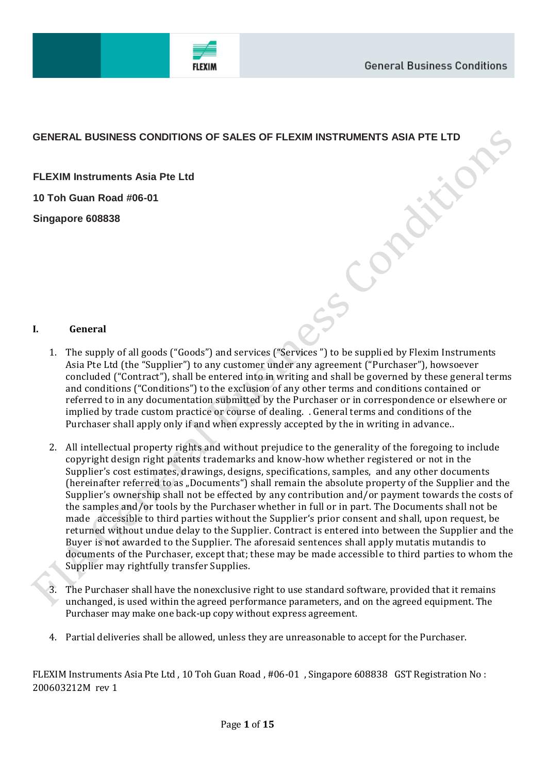# **GENERAL BUSINESS CONDITIONS OF SALES OF FLEXIM INSTRUMENTS ASIA PTE LTD**

**FLEXIM Instruments Asia Pte Ltd 10 Toh Guan Road #06-01**

**Singapore 608838**

## **I. General**

- 1. The supply of all goods ("Goods") and services ("Services ") to be supplied by Flexim Instruments Asia Pte Ltd (the "Supplier") to any customer under any agreement ("Purchaser"), howsoever concluded ("Contract"), shall be entered into in writing and shall be governed by these general terms and conditions ("Conditions") to the exclusion of any other terms and conditions contained or referred to in any documentation submitted by the Purchaser or in correspondence or elsewhere or implied by trade custom practice or course of dealing. . General terms and conditions of the Purchaser shall apply only if and when expressly accepted by the in writing in advance..
- 2. All intellectual property rights and without prejudice to the generality of the foregoing to include copyright design right patents trademarks and know-how whether registered or not in the Supplier's cost estimates, drawings, designs, specifications, samples, and any other documents (hereinafter referred to as "Documents") shall remain the absolute property of the Supplier and the Supplier's ownership shall not be effected by any contribution and/or payment towards the costs of the samples and/or tools by the Purchaser whether in full or in part. The Documents shall not be made accessible to third parties without the Supplier's prior consent and shall, upon request, be returned without undue delay to the Supplier. Contract is entered into between the Supplier and the Buyer is not awarded to the Supplier. The aforesaid sentences shall apply mutatis mutandis to documents of the Purchaser, except that; these may be made accessible to third parties to whom the Supplier may rightfully transfer Supplies.
- 3. The Purchaser shall have the nonexclusive right to use standard software, provided that it remains unchanged, is used within the agreed performance parameters, and on the agreed equipment. The Purchaser may make one back-up copy without express agreement.
- 4. Partial deliveries shall be allowed, unless they are unreasonable to accept for the Purchaser.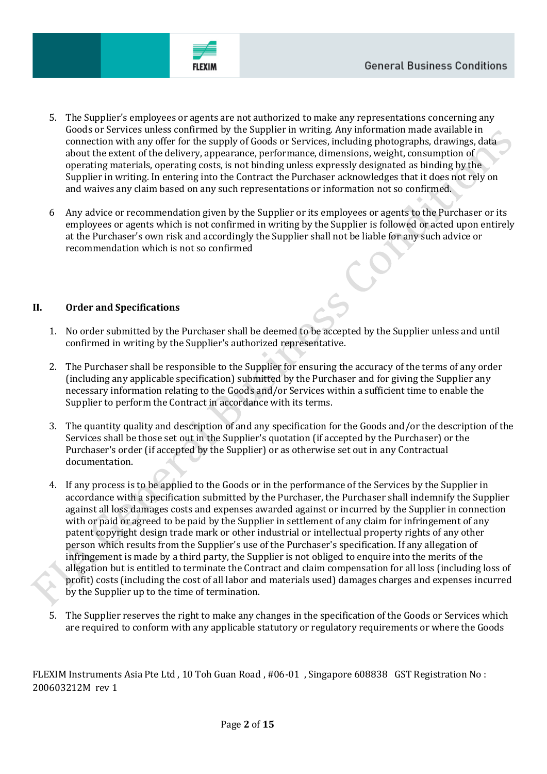

- 5. The Supplier's employees or agents are not authorized to make any representations concerning any Goods or Services unless confirmed by the Supplier in writing. Any information made available in connection with any offer for the supply of Goods or Services, including photographs, drawings, data about the extent of the delivery, appearance, performance, dimensions, weight, consumption of operating materials, operating costs, is not binding unless expressly designated as binding by the Supplier in writing. In entering into the Contract the Purchaser acknowledges that it does not rely on and waives any claim based on any such representations or information not so confirmed.
- 6 Any advice or recommendation given by the Supplier or its employees or agents to the Purchaser or its employees or agents which is not confirmed in writing by the Supplier is followed or acted upon entirely at the Purchaser's own risk and accordingly the Supplier shall not be liable for any such advice or recommendation which is not so confirmed

### **II. Order and Specifications**

- 1. No order submitted by the Purchaser shall be deemed to be accepted by the Supplier unless and until confirmed in writing by the Supplier's authorized representative.
- 2. The Purchaser shall be responsible to the Supplier for ensuring the accuracy of the terms of any order (including any applicable specification) submitted by the Purchaser and for giving the Supplier any necessary information relating to the Goods and/or Services within a sufficient time to enable the Supplier to perform the Contract in accordance with its terms.
- 3. The quantity quality and description of and any specification for the Goods and/or the description of the Services shall be those set out in the Supplier's quotation (if accepted by the Purchaser) or the Purchaser's order (if accepted by the Supplier) or as otherwise set out in any Contractual documentation.
- 4. If any process is to be applied to the Goods or in the performance of the Services by the Supplier in accordance with a specification submitted by the Purchaser, the Purchaser shall indemnify the Supplier against all loss damages costs and expenses awarded against or incurred by the Supplier in connection with or paid or agreed to be paid by the Supplier in settlement of any claim for infringement of any patent copyright design trade mark or other industrial or intellectual property rights of any other person which results from the Supplier's use of the Purchaser's specification. If any allegation of infringement is made by a third party, the Supplier is not obliged to enquire into the merits of the allegation but is entitled to terminate the Contract and claim compensation for all loss (including loss of profit) costs (including the cost of all labor and materials used) damages charges and expenses incurred by the Supplier up to the time of termination.
- 5. The Supplier reserves the right to make any changes in the specification of the Goods or Services which are required to conform with any applicable statutory or regulatory requirements or where the Goods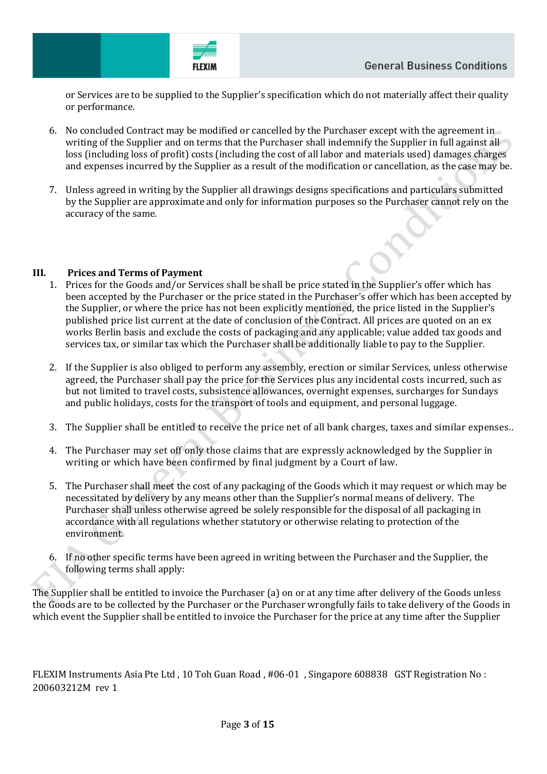FLEXIA

or Services are to be supplied to the Supplier's specification which do not materially affect their quality or performance.

- 6. No concluded Contract may be modified or cancelled by the Purchaser except with the agreement in writing of the Supplier and on terms that the Purchaser shall indemnify the Supplier in full against all loss (including loss of profit) costs (including the cost of all labor and materials used) damages charges and expenses incurred by the Supplier as a result of the modification or cancellation, as the case may be.
- 7. Unless agreed in writing by the Supplier all drawings designs specifications and particulars submitted by the Supplier are approximate and only for information purposes so the Purchaser cannot rely on the accuracy of the same.

## **III. Prices and Terms of Payment**

- 1. Prices for the Goods and/or Services shall be shall be price stated in the Supplier's offer which has been accepted by the Purchaser or the price stated in the Purchaser's offer which has been accepted by the Supplier, or where the price has not been explicitly mentioned, the price listed in the Supplier's published price list current at the date of conclusion of the Contract. All prices are quoted on an ex works Berlin basis and exclude the costs of packaging and any applicable; value added tax goods and services tax, or similar tax which the Purchaser shall be additionally liable to pay to the Supplier.
- 2. If the Supplier is also obliged to perform any assembly, erection or similar Services, unless otherwise agreed, the Purchaser shall pay the price for the Services plus any incidental costs incurred, such as but not limited to travel costs, subsistence allowances, overnight expenses, surcharges for Sundays and public holidays, costs for the transport of tools and equipment, and personal luggage.
- 3. The Supplier shall be entitled to receive the price net of all bank charges, taxes and similar expenses..
- 4. The Purchaser may set off only those claims that are expressly acknowledged by the Supplier in writing or which have been confirmed by final judgment by a Court of law.
- 5. The Purchaser shall meet the cost of any packaging of the Goods which it may request or which may be necessitated by delivery by any means other than the Supplier's normal means of delivery. The Purchaser shall unless otherwise agreed be solely responsible for the disposal of all packaging in accordance with all regulations whether statutory or otherwise relating to protection of the environment.
- 6. If no other specific terms have been agreed in writing between the Purchaser and the Supplier, the following terms shall apply:

The Supplier shall be entitled to invoice the Purchaser (a) on or at any time after delivery of the Goods unless the Goods are to be collected by the Purchaser or the Purchaser wrongfully fails to take delivery of the Goods in which event the Supplier shall be entitled to invoice the Purchaser for the price at any time after the Supplier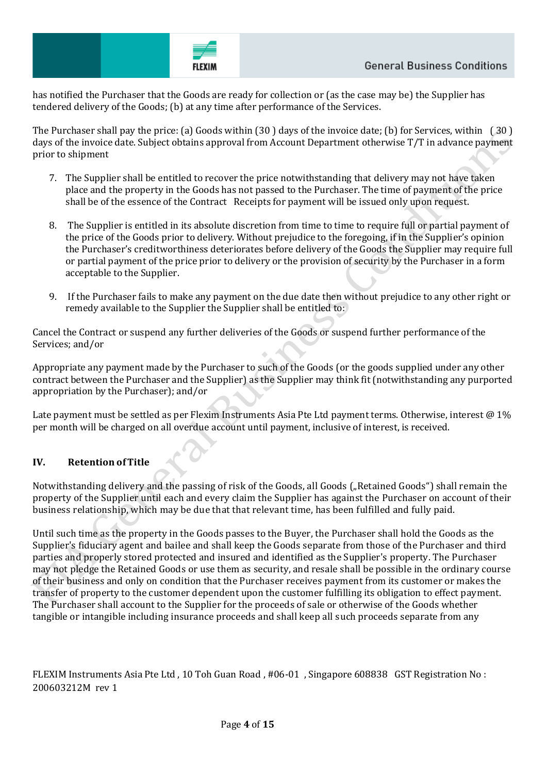has notified the Purchaser that the Goods are ready for collection or (as the case may be) the Supplier has tendered delivery of the Goods; (b) at any time after performance of the Services.

The Purchaser shall pay the price: (a) Goods within (30 ) days of the invoice date; (b) for Services, within ( 30 ) days of the invoice date. Subject obtains approval from Account Department otherwise T/T in advance payment prior to shipment

- 7. The Supplier shall be entitled to recover the price notwithstanding that delivery may not have taken place and the property in the Goods has not passed to the Purchaser. The time of payment of the price shall be of the essence of the Contract Receipts for payment will be issued only upon request.
- 8. The Supplier is entitled in its absolute discretion from time to time to require full or partial payment of the price of the Goods prior to delivery. Without prejudice to the foregoing, if in the Supplier's opinion the Purchaser's creditworthiness deteriorates before delivery of the Goods the Supplier may require full or partial payment of the price prior to delivery or the provision of security by the Purchaser in a form acceptable to the Supplier.
- 9. If the Purchaser fails to make any payment on the due date then without prejudice to any other right or remedy available to the Supplier the Supplier shall be entitled to:

Cancel the Contract or suspend any further deliveries of the Goods or suspend further performance of the Services; and/or

Appropriate any payment made by the Purchaser to such of the Goods (or the goods supplied under any other contract between the Purchaser and the Supplier) as the Supplier may think fit (notwithstanding any purported appropriation by the Purchaser); and/or

Late payment must be settled as per Flexim Instruments Asia Pte Ltd payment terms. Otherwise, interest @ 1% per month will be charged on all overdue account until payment, inclusive of interest, is received.

# **IV. Retention ofTitle**

Notwithstanding delivery and the passing of risk of the Goods, all Goods ("Retained Goods") shall remain the property of the Supplier until each and every claim the Supplier has against the Purchaser on account of their business relationship, which may be due that that relevant time, has been fulfilled and fully paid.

Until such time as the property in the Goods passes to the Buyer, the Purchaser shall hold the Goods as the Supplier's fiduciary agent and bailee and shall keep the Goods separate from those of the Purchaser and third parties and properly stored protected and insured and identified as the Supplier's property. The Purchaser may not pledge the Retained Goods or use them as security, and resale shall be possible in the ordinary course of their business and only on condition that the Purchaser receives payment from its customer or makes the transfer of property to the customer dependent upon the customer fulfilling its obligation to effect payment. The Purchaser shall account to the Supplier for the proceeds of sale or otherwise of the Goods whether tangible or intangible including insurance proceeds and shall keep all such proceeds separate from any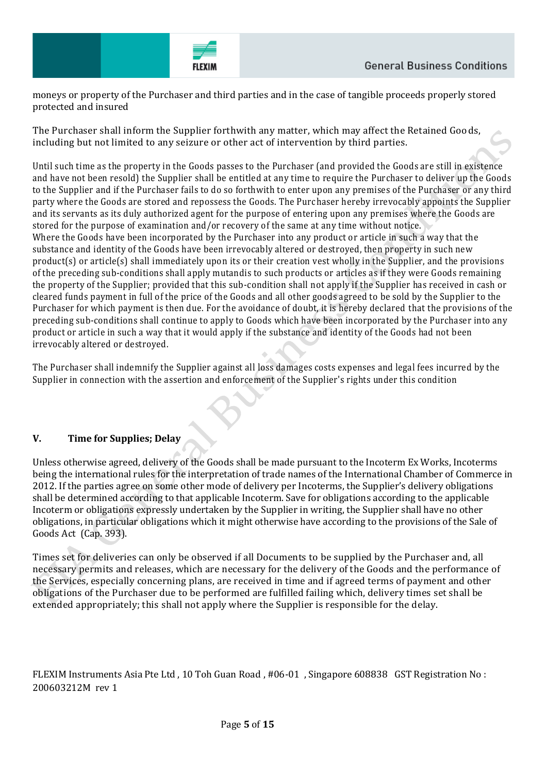

moneys or property of the Purchaser and third parties and in the case of tangible proceeds properly stored protected and insured

The Purchaser shall inform the Supplier forthwith any matter, which may affect the Retained Goods, including but not limited to any seizure or other act of intervention by third parties.

Until such time as the property in the Goods passes to the Purchaser (and provided the Goods are still in existence and have not been resold) the Supplier shall be entitled at any time to require the Purchaser to deliver up the Goods to the Supplier and if the Purchaser fails to do so forthwith to enter upon any premises of the Purchaser or any third party where the Goods are stored and repossess the Goods. The Purchaser hereby irrevocably appoints the Supplier and its servants as its duly authorized agent for the purpose of entering upon any premises where the Goods are stored for the purpose of examination and/or recovery of the same at any time without notice. Where the Goods have been incorporated by the Purchaser into any product or article in such a way that the substance and identity of the Goods have been irrevocably altered or destroyed, then property in such new product(s) or article(s) shall immediately upon its or their creation vest wholly in the Supplier, and the provisions of the preceding sub-conditions shall apply mutandis to such products or articles as if they were Goods remaining the property of the Supplier; provided that this sub-condition shall not apply if the Supplier has received in cash or cleared funds payment in full of the price of the Goods and all other goods agreed to be sold by the Supplier to the Purchaser for which payment is then due. For the avoidance of doubt, it is hereby declared that the provisions of the preceding sub-conditions shall continue to apply to Goods which have been incorporated by the Purchaser into any product or article in such a way that it would apply if the substance and identity of the Goods had not been irrevocably altered or destroyed.

The Purchaser shall indemnify the Supplier against all loss damages costs expenses and legal fees incurred by the Supplier in connection with the assertion and enforcement of the Supplier's rights under this condition

## **V. Time for Supplies; Delay**

Unless otherwise agreed, delivery of the Goods shall be made pursuant to the Incoterm Ex Works, Incoterms being the international rules for the interpretation of trade names of the International Chamber of Commerce in 2012. If the parties agree on some other mode of delivery per Incoterms, the Supplier's delivery obligations shall be determined according to that applicable Incoterm. Save for obligations according to the applicable Incoterm or obligations expressly undertaken by the Supplier in writing, the Supplier shall have no other obligations, in particular obligations which it might otherwise have according to the provisions of the Sale of Goods Act (Cap. 393).

Times set for deliveries can only be observed if all Documents to be supplied by the Purchaser and, all necessary permits and releases, which are necessary for the delivery of the Goods and the performance of the Services, especially concerning plans, are received in time and if agreed terms of payment and other obligations of the Purchaser due to be performed are fulfilled failing which, delivery times set shall be extended appropriately; this shall not apply where the Supplier is responsible for the delay.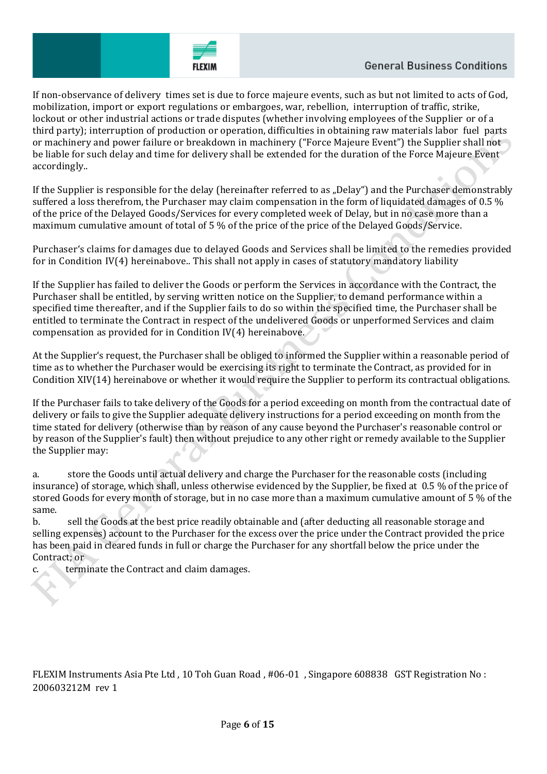

If non-observance of delivery times set is due to force majeure events, such as but not limited to acts of God, mobilization, import or export regulations or embargoes, war, rebellion, interruption of traffic, strike, lockout or other industrial actions or trade disputes (whether involving employees of the Supplier or of a third party); interruption of production or operation, difficulties in obtaining raw materials labor fuel parts or machinery and power failure or breakdown in machinery ("Force Majeure Event") the Supplier shall not be liable for such delay and time for delivery shall be extended for the duration of the Force Majeure Event accordingly..

If the Supplier is responsible for the delay (hereinafter referred to as "Delay") and the Purchaser demonstrably suffered a loss therefrom, the Purchaser may claim compensation in the form of liquidated damages of 0.5 % of the price of the Delayed Goods/Services for every completed week of Delay, but in no case more than a maximum cumulative amount of total of 5 % of the price of the price of the Delayed Goods/Service.

Purchaser's claims for damages due to delayed Goods and Services shall be limited to the remedies provided for in Condition IV(4) hereinabove.. This shall not apply in cases of statutory mandatory liability

If the Supplier has failed to deliver the Goods or perform the Services in accordance with the Contract, the Purchaser shall be entitled, by serving written notice on the Supplier, to demand performance within a specified time thereafter, and if the Supplier fails to do so within the specified time, the Purchaser shall be entitled to terminate the Contract in respect of the undelivered Goods or unperformed Services and claim compensation as provided for in Condition IV(4) hereinabove.

At the Supplier's request, the Purchaser shall be obliged to informed the Supplier within a reasonable period of time as to whether the Purchaser would be exercising its right to terminate the Contract, as provided for in Condition XIV(14) hereinabove or whether it would require the Supplier to perform its contractual obligations.

If the Purchaser fails to take delivery of the Goods for a period exceeding on month from the contractual date of delivery or fails to give the Supplier adequate delivery instructions for a period exceeding on month from the time stated for delivery (otherwise than by reason of any cause beyond the Purchaser's reasonable control or by reason of the Supplier's fault) then without prejudice to any other right or remedy available to the Supplier the Supplier may:

a. store the Goods until actual delivery and charge the Purchaser for the reasonable costs (including insurance) of storage, which shall, unless otherwise evidenced by the Supplier, be fixed at 0.5 % of the price of stored Goods for every month of storage, but in no case more than a maximum cumulative amount of 5 % of the same.

b. sell the Goods at the best price readily obtainable and (after deducting all reasonable storage and selling expenses) account to the Purchaser for the excess over the price under the Contract provided the price has been paid in cleared funds in full or charge the Purchaser for any shortfall below the price under the Contract; or

terminate the Contract and claim damages.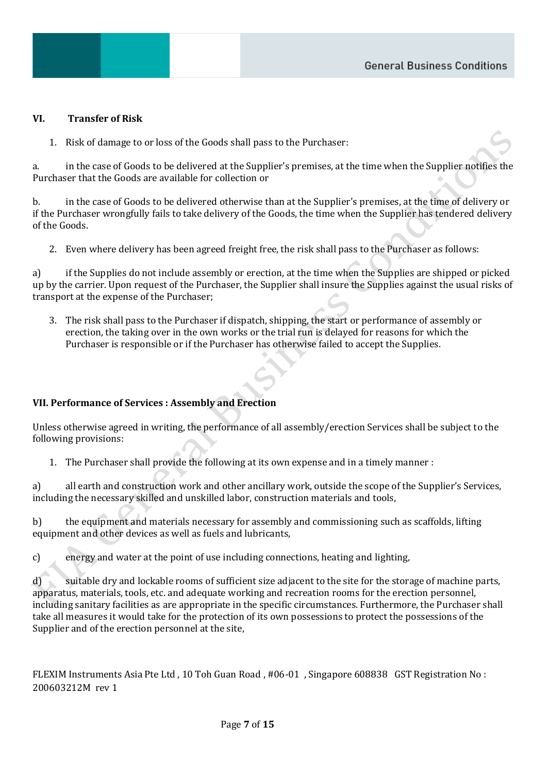### **VI. Transfer of Risk**

1. Risk of damage to or loss of the Goods shall pass to the Purchaser:

a. in the case of Goods to be delivered at the Supplier's premises, at the time when the Supplier notifies the Purchaser that the Goods are available for collection or

b. in the case of Goods to be delivered otherwise than at the Supplier's premises, at the time of delivery or if the Purchaser wrongfully fails to take delivery of the Goods, the time when the Supplier has tendered delivery of the Goods.

2. Even where delivery has been agreed freight free, the risk shall pass to the Purchaser as follows:

a) if the Supplies do not include assembly or erection, at the time when the Supplies are shipped or picked up by the carrier. Upon request of the Purchaser, the Supplier shall insure the Supplies against the usual risks of transport at the expense of the Purchaser;

3. The risk shall pass to the Purchaser if dispatch, shipping, the start or performance of assembly or erection, the taking over in the own works or the trial run is delayed for reasons for which the Purchaser is responsible or if the Purchaser has otherwise failed to accept the Supplies.

## **VII. Performance of Services : Assembly and Erection**

Unless otherwise agreed in writing, the performance of all assembly/erection Services shall be subject to the following provisions:

1. The Purchaser shall provide the following at its own expense and in a timely manner :

a) all earth and construction work and other ancillary work, outside the scope of the Supplier's Services, including the necessary skilled and unskilled labor, construction materials and tools,

b) the equipment and materials necessary for assembly and commissioning such as scaffolds, lifting equipment and other devices as well as fuels and lubricants,

c) energy and water at the point of use including connections, heating and lighting,

d) suitable dry and lockable rooms of sufficient size adjacent to the site for the storage of machine parts, apparatus, materials, tools, etc. and adequate working and recreation rooms for the erection personnel, including sanitary facilities as are appropriate in the specific circumstances. Furthermore, the Purchaser shall take all measures it would take for the protection of its own possessions to protect the possessions of the Supplier and of the erection personnel at the site,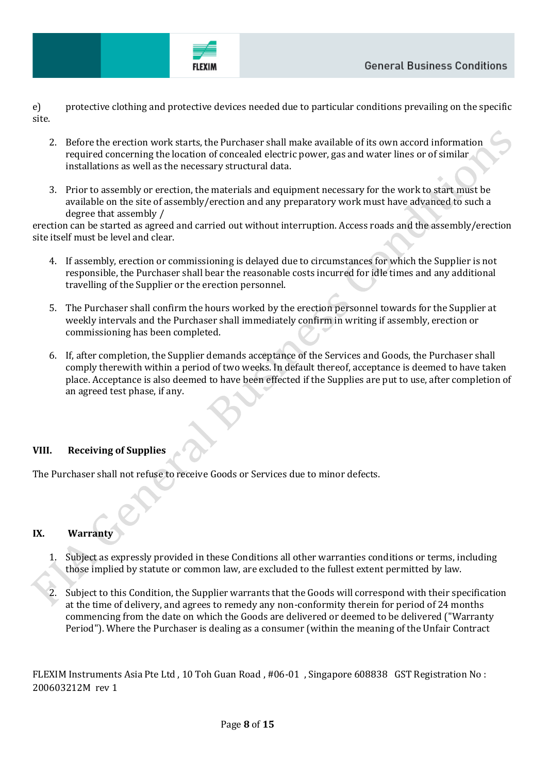

FLEXIA

e) protective clothing and protective devices needed due to particular conditions prevailing on the specific site.

- 2. Before the erection work starts, the Purchaser shall make available of its own accord information required concerning the location of concealed electric power, gas and water lines or of similar installations as well as the necessary structural data.
- 3. Prior to assembly or erection, the materials and equipment necessary for the work to start must be available on the site of assembly/erection and any preparatory work must have advanced to such a degree that assembly /

erection can be started as agreed and carried out without interruption. Access roads and the assembly/erection site itself must be level and clear.

- 4. If assembly, erection or commissioning is delayed due to circumstances for which the Supplier is not responsible, the Purchaser shall bear the reasonable costs incurred for idle times and any additional travelling of the Supplier or the erection personnel.
- 5. The Purchaser shall confirm the hours worked by the erection personnel towards for the Supplier at weekly intervals and the Purchaser shall immediately confirm in writing if assembly, erection or commissioning has been completed.
- 6. If, after completion, the Supplier demands acceptance of the Services and Goods, the Purchaser shall comply therewith within a period of two weeks. In default thereof, acceptance is deemed to have taken place. Acceptance is also deemed to have been effected if the Supplies are put to use, after completion of an agreed test phase, if any.

# **VIII. Receiving of Supplies**

The Purchaser shall not refuse to receive Goods or Services due to minor defects.

# **IX. Warranty**

- 1. Subject as expressly provided in these Conditions all other warranties conditions or terms, including those implied by statute or common law, are excluded to the fullest extent permitted by law.
- 2. Subject to this Condition, the Supplier warrants that the Goods will correspond with their specification at the time of delivery, and agrees to remedy any non-conformity therein for period of 24 months commencing from the date on which the Goods are delivered or deemed to be delivered ("Warranty Period"). Where the Purchaser is dealing as a consumer (within the meaning of the Unfair Contract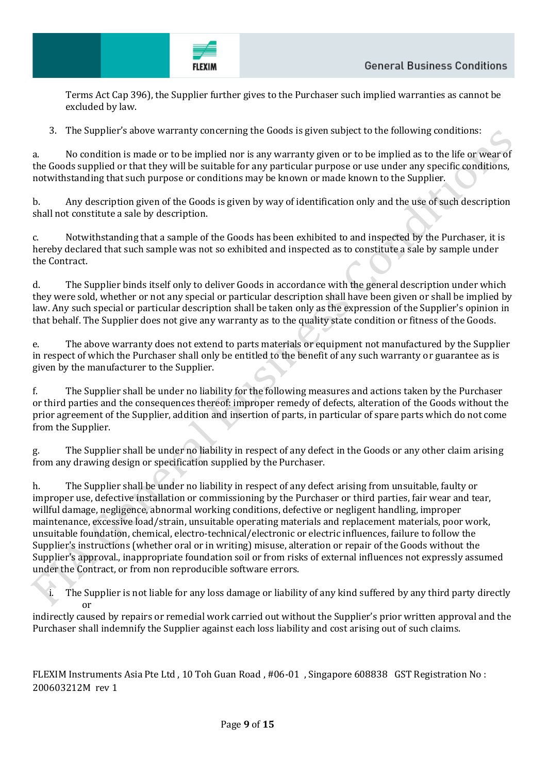**FLEXIN** 

Terms Act Cap 396), the Supplier further gives to the Purchaser such implied warranties as cannot be excluded by law.

3. The Supplier's above warranty concerning the Goods is given subject to the following conditions:

a. No condition is made or to be implied nor is any warranty given or to be implied as to the life or wear of the Goods supplied or that they will be suitable for any particular purpose or use under any specific conditions, notwithstanding that such purpose or conditions may be known or made known to the Supplier.

b. Any description given of the Goods is given by way of identification only and the use of such description shall not constitute a sale by description.

c. Notwithstanding that a sample of the Goods has been exhibited to and inspected by the Purchaser, it is hereby declared that such sample was not so exhibited and inspected as to constitute a sale by sample under the Contract.

d. The Supplier binds itself only to deliver Goods in accordance with the general description under which they were sold, whether or not any special or particular description shall have been given or shall be implied by law. Any such special or particular description shall be taken only as the expression of the Supplier's opinion in that behalf. The Supplier does not give any warranty as to the quality state condition or fitness of the Goods.

e. The above warranty does not extend to parts materials or equipment not manufactured by the Supplier in respect of which the Purchaser shall only be entitled to the benefit of any such warranty or guarantee as is given by the manufacturer to the Supplier.

f. The Supplier shall be under no liability for the following measures and actions taken by the Purchaser or third parties and the consequences thereof: improper remedy of defects, alteration of the Goods without the prior agreement of the Supplier, addition and insertion of parts, in particular of spare parts which do not come from the Supplier.

g. The Supplier shall be under no liability in respect of any defect in the Goods or any other claim arising from any drawing design or specification supplied by the Purchaser.

h. The Supplier shall be under no liability in respect of any defect arising from unsuitable, faulty or improper use, defective installation or commissioning by the Purchaser or third parties, fair wear and tear, willful damage, negligence, abnormal working conditions, defective or negligent handling, improper maintenance, excessive load/strain, unsuitable operating materials and replacement materials, poor work, unsuitable foundation, chemical, electro-technical/electronic or electric influences, failure to follow the Supplier's instructions (whether oral or in writing) misuse, alteration or repair of the Goods without the Supplier's approval., inappropriate foundation soil or from risks of external influences not expressly assumed under the Contract, or from non reproducible software errors.

i. The Supplier is not liable for any loss damage or liability of any kind suffered by any third party directly or

indirectly caused by repairs or remedial work carried out without the Supplier's prior written approval and the Purchaser shall indemnify the Supplier against each loss liability and cost arising out of such claims.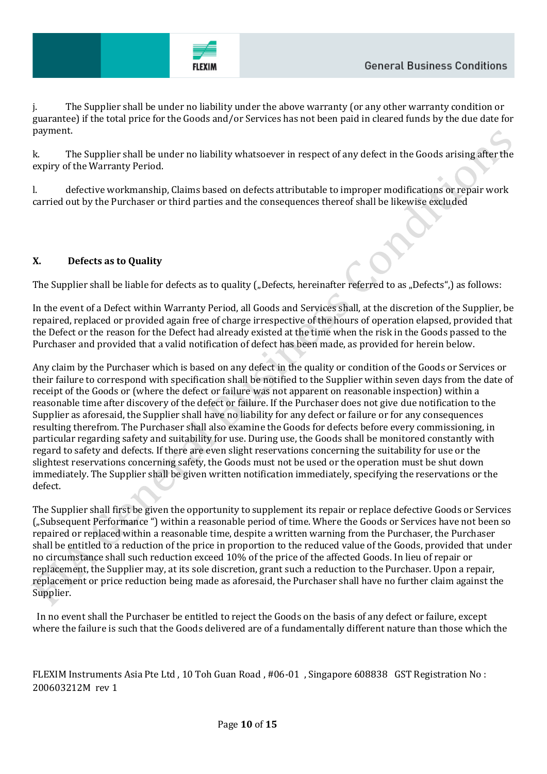

j. The Supplier shall be under no liability under the above warranty (or any other warranty condition or guarantee) if the total price for the Goods and/or Services has not been paid in cleared funds by the due date for payment.

k. The Supplier shall be under no liability whatsoever in respect of any defect in the Goods arising after the expiry of the Warranty Period.

l. defective workmanship, Claims based on defects attributable to improper modifications or repair work carried out by the Purchaser or third parties and the consequences thereof shall be likewise excluded

## **X. Defects as to Quality**

The Supplier shall be liable for defects as to quality ("Defects, hereinafter referred to as "Defects",) as follows:

In the event of a Defect within Warranty Period, all Goods and Services shall, at the discretion of the Supplier, be repaired, replaced or provided again free of charge irrespective of the hours of operation elapsed, provided that the Defect or the reason for the Defect had already existed at the time when the risk in the Goods passed to the Purchaser and provided that a valid notification of defect has been made, as provided for herein below.

Any claim by the Purchaser which is based on any defect in the quality or condition of the Goods or Services or their failure to correspond with specification shall be notified to the Supplier within seven days from the date of receipt of the Goods or (where the defect or failure was not apparent on reasonable inspection) within a reasonable time after discovery of the defect or failure. If the Purchaser does not give due notification to the Supplier as aforesaid, the Supplier shall have no liability for any defect or failure or for any consequences resulting therefrom. The Purchaser shall also examine the Goods for defects before every commissioning, in particular regarding safety and suitability for use. During use, the Goods shall be monitored constantly with regard to safety and defects. If there are even slight reservations concerning the suitability for use or the slightest reservations concerning safety, the Goods must not be used or the operation must be shut down immediately. The Supplier shall be given written notification immediately, specifying the reservations or the defect.

The Supplier shall first be given the opportunity to supplement its repair or replace defective Goods or Services ("Subsequent Performance ") within a reasonable period of time. Where the Goods or Services have not been so repaired or replaced within a reasonable time, despite a written warning from the Purchaser, the Purchaser shall be entitled to a reduction of the price in proportion to the reduced value of the Goods, provided that under no circumstance shall such reduction exceed 10% of the price of the affected Goods. In lieu of repair or replacement, the Supplier may, at its sole discretion, grant such a reduction to the Purchaser. Upon a repair, replacement or price reduction being made as aforesaid, the Purchaser shall have no further claim against the Supplier.

 In no event shall the Purchaser be entitled to reject the Goods on the basis of any defect or failure, except where the failure is such that the Goods delivered are of a fundamentally different nature than those which the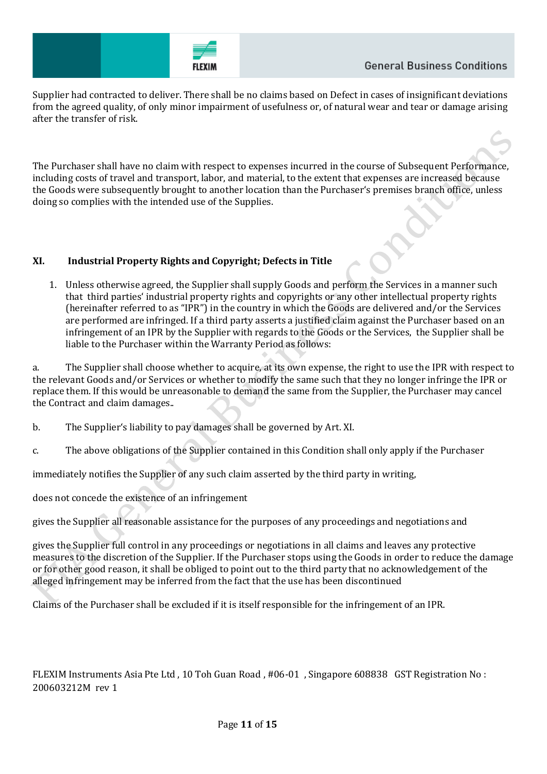

Supplier had contracted to deliver. There shall be no claims based on Defect in cases of insignificant deviations from the agreed quality, of only minor impairment of usefulness or, of natural wear and tear or damage arising after the transfer of risk.

The Purchaser shall have no claim with respect to expenses incurred in the course of Subsequent Performance, including costs of travel and transport, labor, and material, to the extent that expenses are increased because the Goods were subsequently brought to another location than the Purchaser's premises branch office, unless doing so complies with the intended use of the Supplies.

## **XI. Industrial Property Rights and Copyright; Defects in Title**

1. Unless otherwise agreed, the Supplier shall supply Goods and perform the Services in a manner such that third parties' industrial property rights and copyrights or any other intellectual property rights (hereinafter referred to as "IPR") in the country in which the Goods are delivered and/or the Services are performed are infringed. If a third party asserts a justified claim against the Purchaser based on an infringement of an IPR by the Supplier with regards to the Goods or the Services, the Supplier shall be liable to the Purchaser within the Warranty Period as follows:

a. The Supplier shall choose whether to acquire, at its own expense, the right to use the IPR with respect to the relevant Goods and/or Services or whether to modify the same such that they no longer infringe the IPR or replace them. If this would be unreasonable to demand the same from the Supplier, the Purchaser may cancel the Contract and claim damages..

- b. The Supplier's liability to pay damages shall be governed by Art. XI.
- c. The above obligations of the Supplier contained in this Condition shall only apply if the Purchaser

immediately notifies the Supplier of any such claim asserted by the third party in writing,

does not concede the existence of an infringement

gives the Supplier all reasonable assistance for the purposes of any proceedings and negotiations and

gives the Supplier full control in any proceedings or negotiations in all claims and leaves any protective measures to the discretion of the Supplier. If the Purchaser stops using the Goods in order to reduce the damage or for other good reason, it shall be obliged to point out to the third party that no acknowledgement of the alleged infringement may be inferred from the fact that the use has been discontinued

Claims of the Purchaser shall be excluded if it is itself responsible for the infringement of an IPR.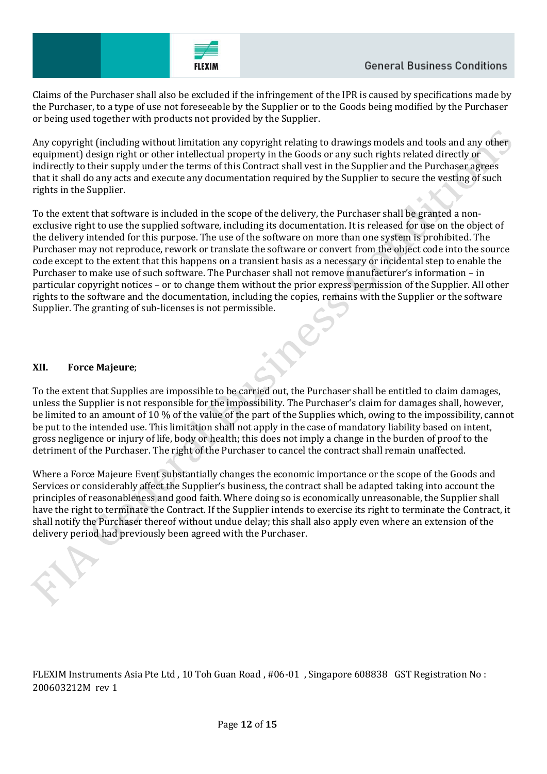Claims of the Purchaser shall also be excluded if the infringement of the IPR is caused by specifications made by the Purchaser, to a type of use not foreseeable by the Supplier or to the Goods being modified by the Purchaser or being used together with products not provided by the Supplier.

Any copyright (including without limitation any copyright relating to drawings models and tools and any other equipment) design right or other intellectual property in the Goods or any such rights related directly or indirectly to their supply under the terms of this Contract shall vest in the Supplier and the Purchaser agrees that it shall do any acts and execute any documentation required by the Supplier to secure the vesting of such rights in the Supplier.

To the extent that software is included in the scope of the delivery, the Purchaser shall be granted a nonexclusive right to use the supplied software, including its documentation. It is released for use on the object of the delivery intended for this purpose. The use of the software on more than one system is prohibited. The Purchaser may not reproduce, rework or translate the software or convert from the object code into the source code except to the extent that this happens on a transient basis as a necessary or incidental step to enable the Purchaser to make use of such software. The Purchaser shall not remove manufacturer's information – in particular copyright notices – or to change them without the prior express permission of the Supplier. All other rights to the software and the documentation, including the copies, remains with the Supplier or the software Supplier. The granting of sub-licenses is not permissible.

## **XII. Force Majeure**;

To the extent that Supplies are impossible to be carried out, the Purchaser shall be entitled to claim damages, unless the Supplier is not responsible for the impossibility. The Purchaser's claim for damages shall, however, be limited to an amount of 10 % of the value of the part of the Supplies which, owing to the impossibility, cannot be put to the intended use. This limitation shall not apply in the case of mandatory liability based on intent, gross negligence or injury of life, body or health; this does not imply a change in the burden of proof to the detriment of the Purchaser. The right of the Purchaser to cancel the contract shall remain unaffected.

Where a Force Majeure Event substantially changes the economic importance or the scope of the Goods and Services or considerably affect the Supplier's business, the contract shall be adapted taking into account the principles of reasonableness and good faith. Where doing so is economically unreasonable, the Supplier shall have the right to terminate the Contract. If the Supplier intends to exercise its right to terminate the Contract, it shall notify the Purchaser thereof without undue delay; this shall also apply even where an extension of the delivery period had previously been agreed with the Purchaser.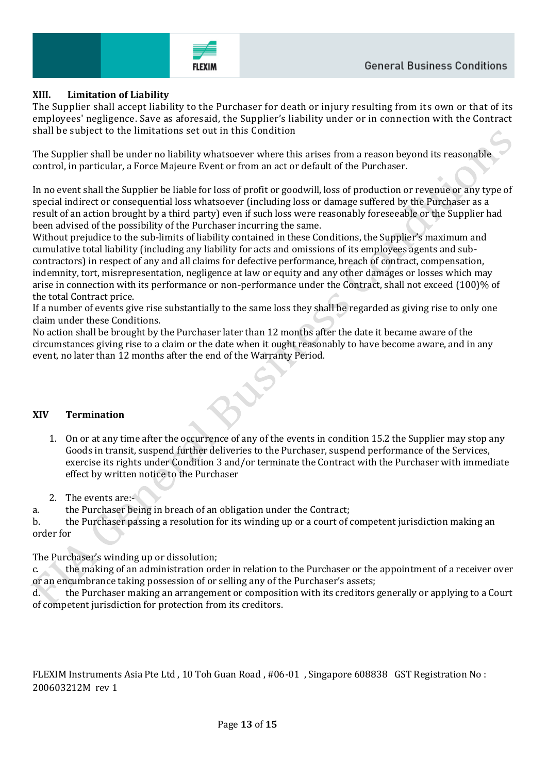

## **XIII. Limitation of Liability**

The Supplier shall accept liability to the Purchaser for death or injury resulting from it s own or that of its employees' negligence. Save as aforesaid, the Supplier's liability under or in connection with the Contract shall be subject to the limitations set out in this Condition

The Supplier shall be under no liability whatsoever where this arises from a reason beyond its reasonable control, in particular, a Force Majeure Event or from an act or default of the Purchaser.

In no event shall the Supplier be liable for loss of profit or goodwill, loss of production or revenue or any type of special indirect or consequential loss whatsoever (including loss or damage suffered by the Purchaser as a result of an action brought by a third party) even if such loss were reasonably foreseeable or the Supplier had been advised of the possibility of the Purchaser incurring the same.

Without prejudice to the sub-limits of liability contained in these Conditions, the Supplier's maximum and cumulative total liability (including any liability for acts and omissions of its employees agents and subcontractors) in respect of any and all claims for defective performance, breach of contract, compensation, indemnity, tort, misrepresentation, negligence at law or equity and any other damages or losses which may arise in connection with its performance or non-performance under the Contract, shall not exceed (100)% of the total Contract price.

If a number of events give rise substantially to the same loss they shall be regarded as giving rise to only one claim under these Conditions.

No action shall be brought by the Purchaser later than 12 months after the date it became aware of the circumstances giving rise to a claim or the date when it ought reasonably to have become aware, and in any event, no later than 12 months after the end of the Warranty Period.

#### **XIV Termination**

- 1. On or at any time after the occurrence of any of the events in condition 15.2 the Supplier may stop any Goods in transit, suspend further deliveries to the Purchaser, suspend performance of the Services, exercise its rights under Condition 3 and/or terminate the Contract with the Purchaser with immediate effect by written notice to the Purchaser
- 2. The events are:-

a. the Purchaser being in breach of an obligation under the Contract;

b. the Purchaser passing a resolution for its winding up or a court of competent jurisdiction making an order for

The Purchaser's winding up or dissolution;

c. the making of an administration order in relation to the Purchaser or the appointment of a receiver over or an encumbrance taking possession of or selling any of the Purchaser's assets;

d. the Purchaser making an arrangement or composition with its creditors generally or applying to a Court of competent jurisdiction for protection from its creditors.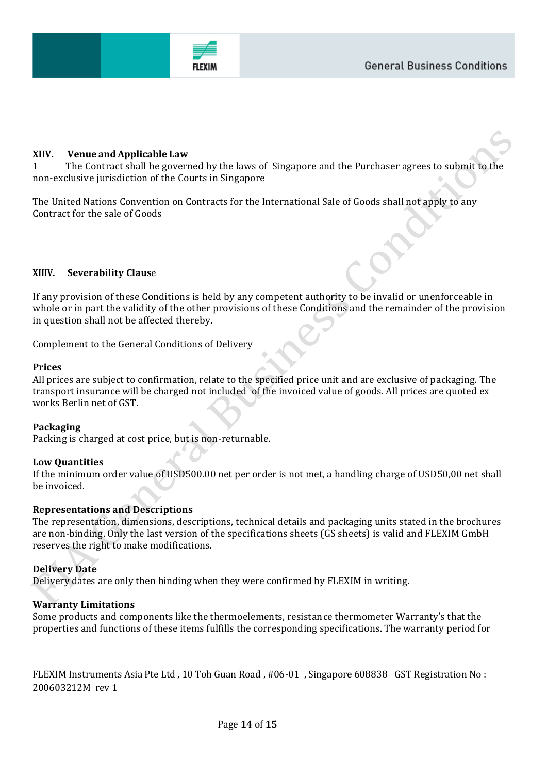

## **XIIV. Venue and Applicable Law**

1 The Contract shall be governed by the laws of Singapore and the Purchaser agrees to submit to the non-exclusive jurisdiction of the Courts in Singapore

The United Nations Convention on Contracts for the International Sale of Goods shall not apply to any Contract for the sale of Goods

#### **XIIIV. Severability Claus**e

If any provision of these Conditions is held by any competent authority to be invalid or unenforceable in whole or in part the validity of the other provisions of these Conditions and the remainder of the provision in question shall not be affected thereby.

Complement to the General Conditions of Delivery

#### **Prices**

All prices are subject to confirmation, relate to the specified price unit and are exclusive of packaging. The transport insurance will be charged not included of the invoiced value of goods. All prices are quoted ex works Berlin net of GST.

#### **Packaging**

Packing is charged at cost price, but is non-returnable.

#### **Low Quantities**

If the minimum order value of USD500.00 net per order is not met, a handling charge of USD50,00 net shall be invoiced.

#### **Representations and Descriptions**

The representation, dimensions, descriptions, technical details and packaging units stated in the brochures are non-binding. Only the last version of the specifications sheets (GS sheets) is valid and FLEXIM GmbH reserves the right to make modifications.

#### **Delivery Date**

Delivery dates are only then binding when they were confirmed by FLEXIM in writing.

#### **Warranty Limitations**

Some products and components like the thermoelements, resistance thermometer Warranty's that the properties and functions of these items fulfills the corresponding specifications. The warranty period for